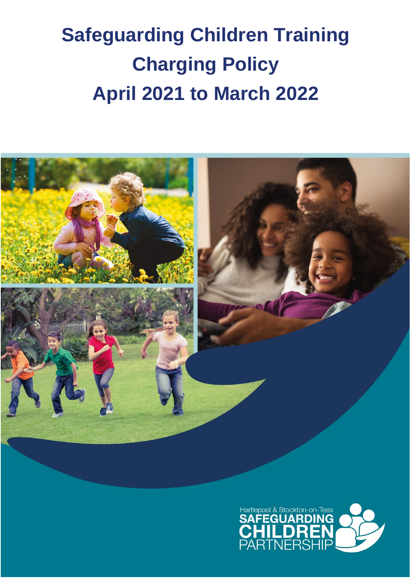# **Safeguarding Children Training Charging Policy April 2021 to March 2022**



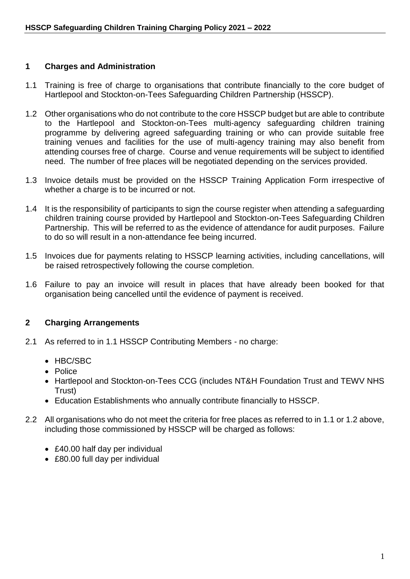## **1 Charges and Administration**

- 1.1 Training is free of charge to organisations that contribute financially to the core budget of Hartlepool and Stockton-on-Tees Safeguarding Children Partnership (HSSCP).
- 1.2 Other organisations who do not contribute to the core HSSCP budget but are able to contribute to the Hartlepool and Stockton-on-Tees multi-agency safeguarding children training programme by delivering agreed safeguarding training or who can provide suitable free training venues and facilities for the use of multi-agency training may also benefit from attending courses free of charge. Course and venue requirements will be subject to identified need. The number of free places will be negotiated depending on the services provided.
- 1.3 Invoice details must be provided on the HSSCP Training Application Form irrespective of whether a charge is to be incurred or not.
- 1.4 It is the responsibility of participants to sign the course register when attending a safeguarding children training course provided by Hartlepool and Stockton-on-Tees Safeguarding Children Partnership. This will be referred to as the evidence of attendance for audit purposes. Failure to do so will result in a non-attendance fee being incurred.
- 1.5 Invoices due for payments relating to HSSCP learning activities, including cancellations, will be raised retrospectively following the course completion.
- 1.6 Failure to pay an invoice will result in places that have already been booked for that organisation being cancelled until the evidence of payment is received.

## **2 Charging Arrangements**

- 2.1 As referred to in 1.1 HSSCP Contributing Members no charge:
	- HBC/SBC
	- Police
	- Hartlepool and Stockton-on-Tees CCG (includes NT&H Foundation Trust and TEWV NHS Trust)
	- Education Establishments who annually contribute financially to HSSCP.
- 2.2 All organisations who do not meet the criteria for free places as referred to in 1.1 or 1.2 above, including those commissioned by HSSCP will be charged as follows:
	- £40.00 half day per individual
	- £80.00 full day per individual